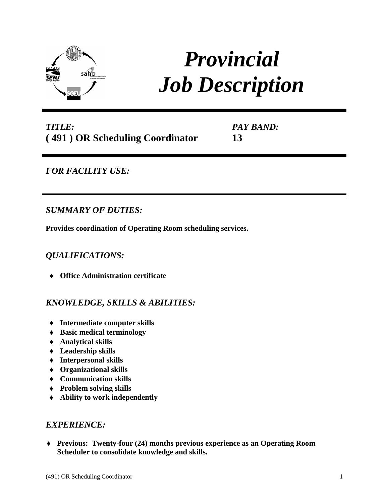

# *Provincial Job Description*

# *TITLE:* **( 491 ) OR Scheduling Coordinator**

*PAY BAND:* **13**

# *FOR FACILITY USE:*

## *SUMMARY OF DUTIES:*

**Provides coordination of Operating Room scheduling services.**

## *QUALIFICATIONS:*

**Office Administration certificate** 

## *KNOWLEDGE, SKILLS & ABILITIES:*

- ♦ **Intermediate computer skills**
- ♦ **Basic medical terminology**
- ♦ **Analytical skills**
- ♦ **Leadership skills**
- ♦ **Interpersonal skills**
- ♦ **Organizational skills**
- ♦ **Communication skills**
- ♦ **Problem solving skills**
- ♦ **Ability to work independently**

## *EXPERIENCE:*

♦ **Previous: Twenty-four (24) months previous experience as an Operating Room Scheduler to consolidate knowledge and skills.**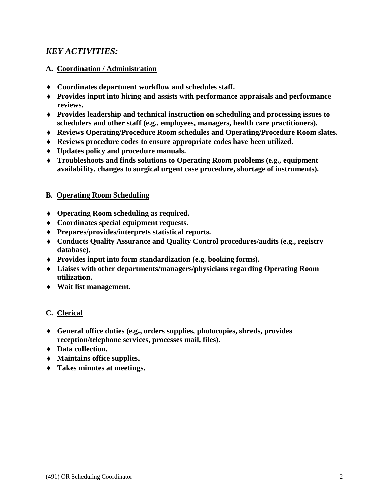## *KEY ACTIVITIES:*

### **A. Coordination / Administration**

- ♦ **Coordinates department workflow and schedules staff.**
- ♦ **Provides input into hiring and assists with performance appraisals and performance reviews.**
- ♦ **Provides leadership and technical instruction on scheduling and processing issues to schedulers and other staff (e.g., employees, managers, health care practitioners).**
- ♦ **Reviews Operating/Procedure Room schedules and Operating/Procedure Room slates.**
- ♦ **Reviews procedure codes to ensure appropriate codes have been utilized.**
- ♦ **Updates policy and procedure manuals.**
- ♦ **Troubleshoots and finds solutions to Operating Room problems (e.g., equipment availability, changes to surgical urgent case procedure, shortage of instruments).**

#### **B. Operating Room Scheduling**

- ♦ **Operating Room scheduling as required.**
- ♦ **Coordinates special equipment requests.**
- ♦ **Prepares/provides/interprets statistical reports.**
- ♦ **Conducts Quality Assurance and Quality Control procedures/audits (e.g., registry database).**
- ♦ **Provides input into form standardization (e.g. booking forms).**
- ♦ **Liaises with other departments/managers/physicians regarding Operating Room utilization.**
- ♦ **Wait list management.**

#### **C. Clerical**

- ♦ **General office duties (e.g., orders supplies, photocopies, shreds, provides reception/telephone services, processes mail, files).**
- ♦ **Data collection.**
- ♦ **Maintains office supplies.**
- ♦ **Takes minutes at meetings.**